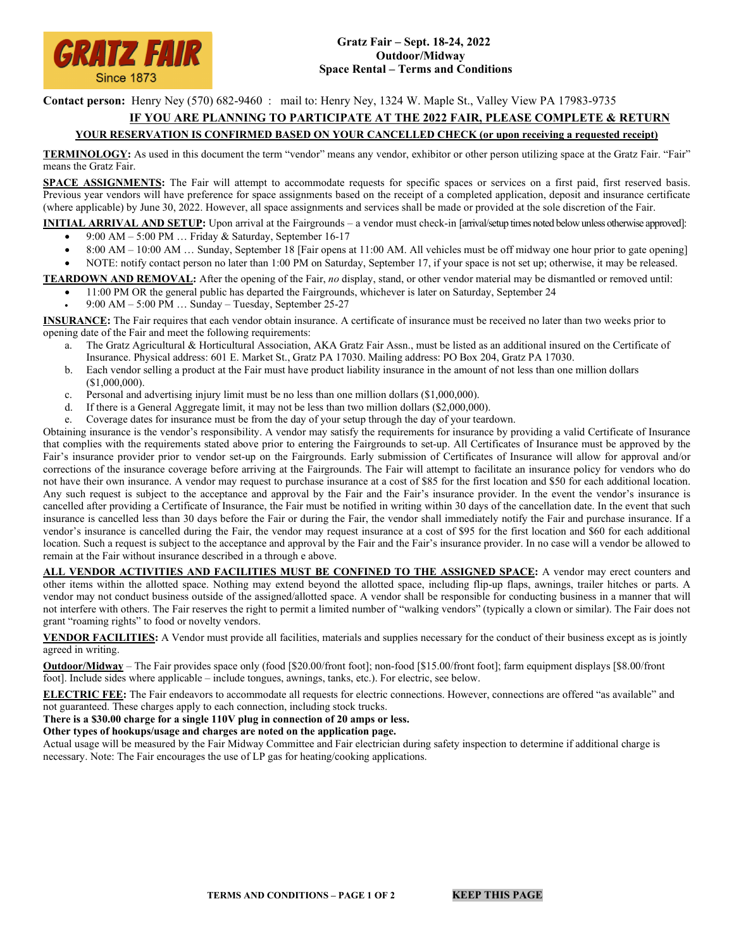

**Contact person:** Henry Ney (570) 682-9460 : mail to: Henry Ney, 1324 W. Maple St., Valley View PA 17983-9735

## **IF YOU ARE PLANNING TO PARTICIPATE AT THE 2022 FAIR, PLEASE COMPLETE & RETURN**

## **YOUR RESERVATION IS CONFIRMED BASED ON YOUR CANCELLED CHECK (or upon receiving a requested receipt)**

**TERMINOLOGY:** As used in this document the term "vendor" means any vendor, exhibitor or other person utilizing space at the Gratz Fair. "Fair" means the Gratz Fair.

**SPACE ASSIGNMENTS:** The Fair will attempt to accommodate requests for specific spaces or services on a first paid, first reserved basis. Previous year vendors will have preference for space assignments based on the receipt of a completed application, deposit and insurance certificate (where applicable) by June 30, 2022. However, all space assignments and services shall be made or provided at the sole discretion of the Fair.

**INITIAL ARRIVAL AND SETUP:** Upon arrival at the Fairgrounds – a vendor must check-in [arrival/setup times noted below unless otherwise approved]: • 9:00 AM – 5:00 PM … Friday & Saturday, September 16-17

- 8:00 AM 10:00 AM … Sunday, September 18 [Fair opens at 11:00 AM. All vehicles must be off midway one hour prior to gate opening]
- NOTE: notify contact person no later than 1:00 PM on Saturday, September 17, if your space is not set up; otherwise, it may be released.

**TEARDOWN AND REMOVAL:** After the opening of the Fair, *no* display, stand, or other vendor material may be dismantled or removed until:

- 11:00 PM OR the general public has departed the Fairgrounds, whichever is later on Saturday, September 24
- 9:00 AM 5:00 PM … Sunday Tuesday, September 25-27

**INSURANCE:** The Fair requires that each vendor obtain insurance. A certificate of insurance must be received no later than two weeks prior to opening date of the Fair and meet the following requirements:

- a. The Gratz Agricultural & Horticultural Association, AKA Gratz Fair Assn., must be listed as an additional insured on the Certificate of Insurance. Physical address: 601 E. Market St., Gratz PA 17030. Mailing address: PO Box 204, Gratz PA 17030.
- b. Each vendor selling a product at the Fair must have product liability insurance in the amount of not less than one million dollars (\$1,000,000).
- c. Personal and advertising injury limit must be no less than one million dollars (\$1,000,000).
- d. If there is a General Aggregate limit, it may not be less than two million dollars (\$2,000,000).
- e. Coverage dates for insurance must be from the day of your setup through the day of your teardown.

Obtaining insurance is the vendor's responsibility. A vendor may satisfy the requirements for insurance by providing a valid Certificate of Insurance that complies with the requirements stated above prior to entering the Fairgrounds to set-up. All Certificates of Insurance must be approved by the Fair's insurance provider prior to vendor set-up on the Fairgrounds. Early submission of Certificates of Insurance will allow for approval and/or corrections of the insurance coverage before arriving at the Fairgrounds. The Fair will attempt to facilitate an insurance policy for vendors who do not have their own insurance. A vendor may request to purchase insurance at a cost of \$85 for the first location and \$50 for each additional location. Any such request is subject to the acceptance and approval by the Fair and the Fair's insurance provider. In the event the vendor's insurance is cancelled after providing a Certificate of Insurance, the Fair must be notified in writing within 30 days of the cancellation date. In the event that such insurance is cancelled less than 30 days before the Fair or during the Fair, the vendor shall immediately notify the Fair and purchase insurance. If a vendor's insurance is cancelled during the Fair, the vendor may request insurance at a cost of \$95 for the first location and \$60 for each additional location. Such a request is subject to the acceptance and approval by the Fair and the Fair's insurance provider. In no case will a vendor be allowed to remain at the Fair without insurance described in a through e above.

**ALL VENDOR ACTIVITIES AND FACILITIES MUST BE CONFINED TO THE ASSIGNED SPACE:** A vendor may erect counters and other items within the allotted space. Nothing may extend beyond the allotted space, including flip-up flaps, awnings, trailer hitches or parts. A vendor may not conduct business outside of the assigned/allotted space. A vendor shall be responsible for conducting business in a manner that will not interfere with others. The Fair reserves the right to permit a limited number of "walking vendors" (typically a clown or similar). The Fair does not grant "roaming rights" to food or novelty vendors.

**VENDOR FACILITIES:** A Vendor must provide all facilities, materials and supplies necessary for the conduct of their business except as is jointly agreed in writing.

**Outdoor/Midway** – The Fair provides space only (food [\$20.00/front foot]; non-food [\$15.00/front foot]; farm equipment displays [\$8.00/front foot]. Include sides where applicable – include tongues, awnings, tanks, etc.). For electric, see below.

**ELECTRIC FEE:** The Fair endeavors to accommodate all requests for electric connections. However, connections are offered "as available" and not guaranteed. These charges apply to each connection, including stock trucks.

**There is a \$30.00 charge for a single 110V plug in connection of 20 amps or less.** 

**Other types of hookups/usage and charges are noted on the application page.**

Actual usage will be measured by the Fair Midway Committee and Fair electrician during safety inspection to determine if additional charge is necessary. Note: The Fair encourages the use of LP gas for heating/cooking applications.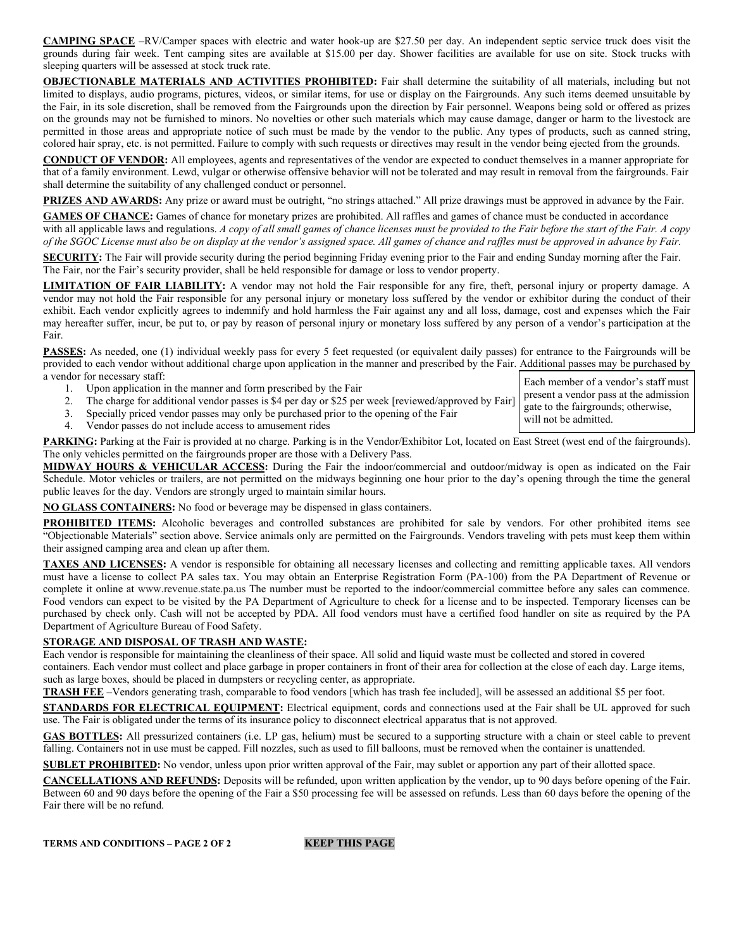**CAMPING SPACE** –RV/Camper spaces with electric and water hook-up are \$27.50 per day. An independent septic service truck does visit the grounds during fair week. Tent camping sites are available at \$15.00 per day. Shower facilities are available for use on site. Stock trucks with sleeping quarters will be assessed at stock truck rate.

**OBJECTIONABLE MATERIALS AND ACTIVITIES PROHIBITED:** Fair shall determine the suitability of all materials, including but not limited to displays, audio programs, pictures, videos, or similar items, for use or display on the Fairgrounds. Any such items deemed unsuitable by the Fair, in its sole discretion, shall be removed from the Fairgrounds upon the direction by Fair personnel. Weapons being sold or offered as prizes on the grounds may not be furnished to minors. No novelties or other such materials which may cause damage, danger or harm to the livestock are permitted in those areas and appropriate notice of such must be made by the vendor to the public. Any types of products, such as canned string, colored hair spray, etc. is not permitted. Failure to comply with such requests or directives may result in the vendor being ejected from the grounds.

**CONDUCT OF VENDOR:** All employees, agents and representatives of the vendor are expected to conduct themselves in a manner appropriate for that of a family environment. Lewd, vulgar or otherwise offensive behavior will not be tolerated and may result in removal from the fairgrounds. Fair shall determine the suitability of any challenged conduct or personnel.

**PRIZES AND AWARDS:** Any prize or award must be outright, "no strings attached." All prize drawings must be approved in advance by the Fair.

**GAMES OF CHANCE:** Games of chance for monetary prizes are prohibited. All raffles and games of chance must be conducted in accordance with all applicable laws and regulations. *A copy of all small games of chance licenses must be provided to the Fair before the start of the Fair. A copy of the SGOC License must also be on display at the vendor's assigned space. All games of chance and raffles must be approved in advance by Fair.*

**SECURITY:** The Fair will provide security during the period beginning Friday evening prior to the Fair and ending Sunday morning after the Fair. The Fair, nor the Fair's security provider, shall be held responsible for damage or loss to vendor property.

**LIMITATION OF FAIR LIABILITY:** A vendor may not hold the Fair responsible for any fire, theft, personal injury or property damage. A vendor may not hold the Fair responsible for any personal injury or monetary loss suffered by the vendor or exhibitor during the conduct of their exhibit. Each vendor explicitly agrees to indemnify and hold harmless the Fair against any and all loss, damage, cost and expenses which the Fair may hereafter suffer, incur, be put to, or pay by reason of personal injury or monetary loss suffered by any person of a vendor's participation at the Fair.

**PASSES:** As needed, one (1) individual weekly pass for every 5 feet requested (or equivalent daily passes) for entrance to the Fairgrounds will be provided to each vendor without additional charge upon application in the manner and prescribed by the Fair. Additional passes may be purchased by a vendor for necessary staff: Each member of a vendor's staff must

> present a vendor pass at the admission gate to the fairgrounds; otherwise,

will not be admitted.

- 1. Upon application in the manner and form prescribed by the Fair
- 2. The charge for additional vendor passes is \$4 per day or \$25 per week [reviewed/approved by Fair]
- 3. Specially priced vendor passes may only be purchased prior to the opening of the Fair
- 4. Vendor passes do not include access to amusement rides

PARKING: Parking at the Fair is provided at no charge. Parking is in the Vendor/Exhibitor Lot, located on East Street (west end of the fairgrounds). The only vehicles permitted on the fairgrounds proper are those with a Delivery Pass.

**MIDWAY HOURS & VEHICULAR ACCESS:** During the Fair the indoor/commercial and outdoor/midway is open as indicated on the Fair Schedule. Motor vehicles or trailers, are not permitted on the midways beginning one hour prior to the day's opening through the time the general public leaves for the day. Vendors are strongly urged to maintain similar hours.

**NO GLASS CONTAINERS:** No food or beverage may be dispensed in glass containers.

**PROHIBITED ITEMS:** Alcoholic beverages and controlled substances are prohibited for sale by vendors. For other prohibited items see "Objectionable Materials" section above. Service animals only are permitted on the Fairgrounds. Vendors traveling with pets must keep them within their assigned camping area and clean up after them.

**TAXES AND LICENSES:** A vendor is responsible for obtaining all necessary licenses and collecting and remitting applicable taxes. All vendors must have a license to collect PA sales tax. You may obtain an Enterprise Registration Form (PA-100) from the PA Department of Revenue or complete it online at www.revenue.state.pa.us The number must be reported to the indoor/commercial committee before any sales can commence. Food vendors can expect to be visited by the PA Department of Agriculture to check for a license and to be inspected. Temporary licenses can be purchased by check only. Cash will not be accepted by PDA. All food vendors must have a certified food handler on site as required by the PA Department of Agriculture Bureau of Food Safety.

## **STORAGE AND DISPOSAL OF TRASH AND WASTE:**

Each vendor is responsible for maintaining the cleanliness of their space. All solid and liquid waste must be collected and stored in covered containers. Each vendor must collect and place garbage in proper containers in front of their area for collection at the close of each day. Large items,

such as large boxes, should be placed in dumpsters or recycling center, as appropriate.

**TRASH FEE** –Vendors generating trash, comparable to food vendors [which has trash fee included], will be assessed an additional \$5 per foot.

**STANDARDS FOR ELECTRICAL EQUIPMENT:** Electrical equipment, cords and connections used at the Fair shall be UL approved for such use. The Fair is obligated under the terms of its insurance policy to disconnect electrical apparatus that is not approved.

**GAS BOTTLES:** All pressurized containers (i.e. LP gas, helium) must be secured to a supporting structure with a chain or steel cable to prevent falling. Containers not in use must be capped. Fill nozzles, such as used to fill balloons, must be removed when the container is unattended.

**SUBLET PROHIBITED:** No vendor, unless upon prior written approval of the Fair, may sublet or apportion any part of their allotted space.

**CANCELLATIONS AND REFUNDS:** Deposits will be refunded, upon written application by the vendor, up to 90 days before opening of the Fair. Between 60 and 90 days before the opening of the Fair a \$50 processing fee will be assessed on refunds. Less than 60 days before the opening of the Fair there will be no refund.

**TERMS AND CONDITIONS - PAGE 2 OF 2 KEEP THIS PAGE**